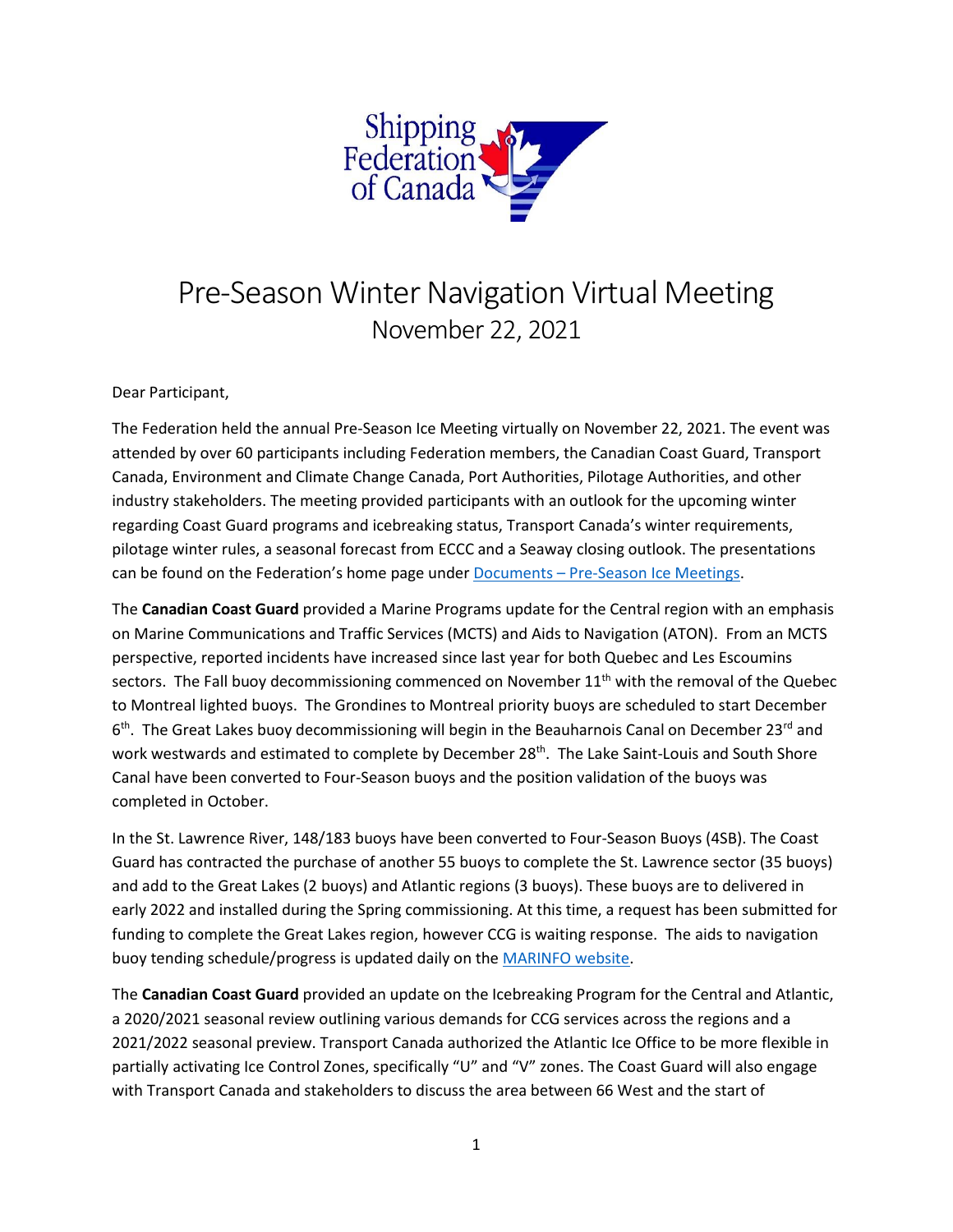

## Pre-Season Winter Navigation Virtual Meeting November 22, 2021

Dear Participant,

The Federation held the annual Pre-Season Ice Meeting virtually on November 22, 2021. The event was attended by over 60 participants including Federation members, the Canadian Coast Guard, Transport Canada, Environment and Climate Change Canada, Port Authorities, Pilotage Authorities, and other industry stakeholders. The meeting provided participants with an outlook for the upcoming winter regarding Coast Guard programs and icebreaking status, Transport Canada's winter requirements, pilotage winter rules, a seasonal forecast from ECCC and a Seaway closing outlook. The presentations can be found on the Federation's home page under Documents – [Pre-Season Ice Meetings.](http://www.shipfed.ca/618e9e912bd08)

The **Canadian Coast Guard** provided a Marine Programs update for the Central region with an emphasis on Marine Communications and Traffic Services (MCTS) and Aids to Navigation (ATON). From an MCTS perspective, reported incidents have increased since last year for both Quebec and Les Escoumins sectors. The Fall buoy decommissioning commenced on November 11<sup>th</sup> with the removal of the Quebec to Montreal lighted buoys. The Grondines to Montreal priority buoys are scheduled to start December 6<sup>th</sup>. The Great Lakes buoy decommissioning will begin in the Beauharnois Canal on December 23<sup>rd</sup> and work westwards and estimated to complete by December 28<sup>th</sup>. The Lake Saint-Louis and South Shore Canal have been converted to Four-Season buoys and the position validation of the buoys was completed in October.

In the St. Lawrence River, 148/183 buoys have been converted to Four-Season Buoys (4SB). The Coast Guard has contracted the purchase of another 55 buoys to complete the St. Lawrence sector (35 buoys) and add to the Great Lakes (2 buoys) and Atlantic regions (3 buoys). These buoys are to delivered in early 2022 and installed during the Spring commissioning. At this time, a request has been submitted for funding to complete the Great Lakes region, however CCG is waiting response. The aids to navigation buoy tending schedule/progress is updated daily on the [MARINFO website.](https://www.marinfo.gc.ca/en/general/accueil.asp)

The **Canadian Coast Guard** provided an update on the Icebreaking Program for the Central and Atlantic, a 2020/2021 seasonal review outlining various demands for CCG services across the regions and a 2021/2022 seasonal preview. Transport Canada authorized the Atlantic Ice Office to be more flexible in partially activating Ice Control Zones, specifically "U" and "V" zones. The Coast Guard will also engage with Transport Canada and stakeholders to discuss the area between 66 West and the start of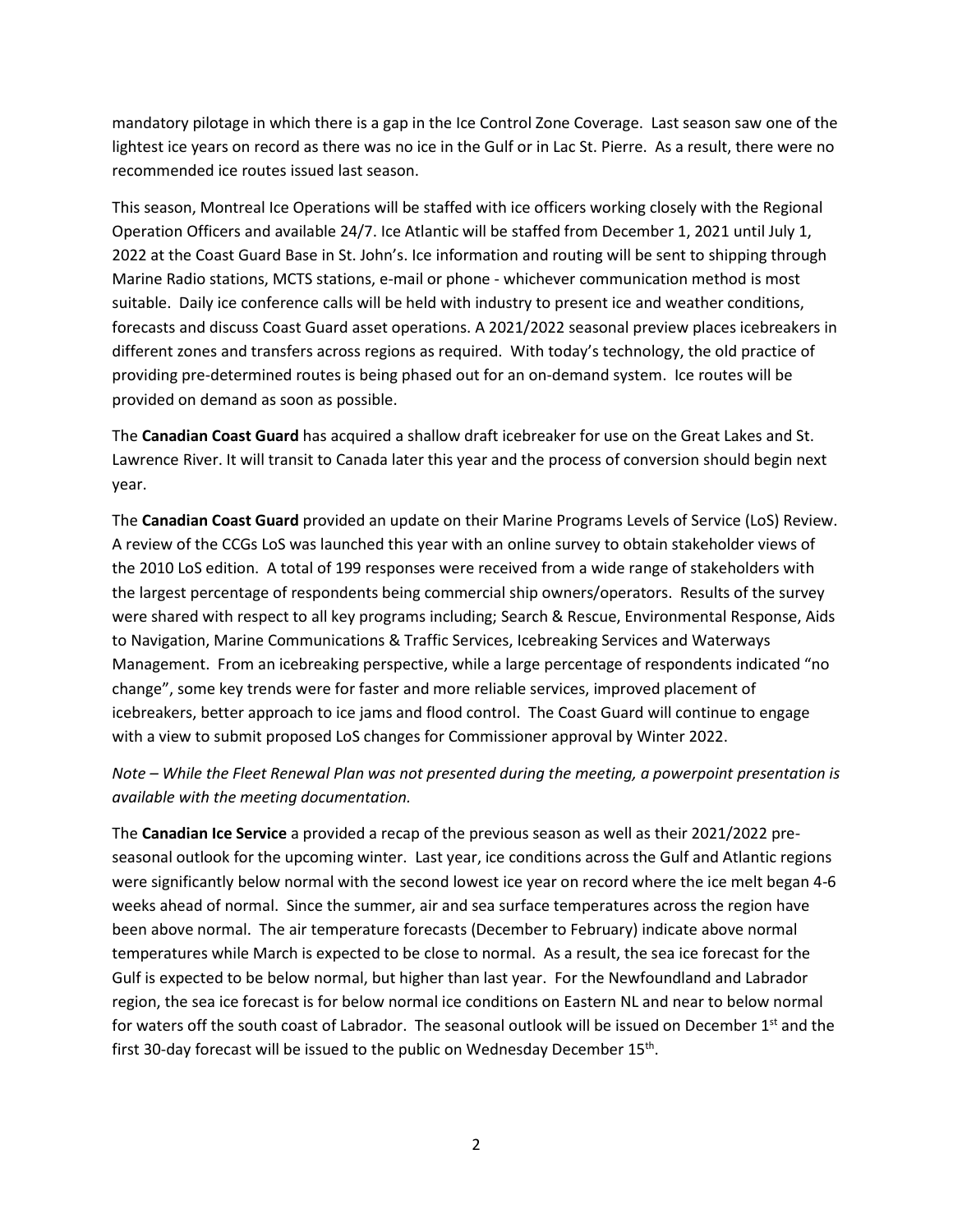mandatory pilotage in which there is a gap in the Ice Control Zone Coverage. Last season saw one of the lightest ice years on record as there was no ice in the Gulf or in Lac St. Pierre. As a result, there were no recommended ice routes issued last season.

This season, Montreal Ice Operations will be staffed with ice officers working closely with the Regional Operation Officers and available 24/7. Ice Atlantic will be staffed from December 1, 2021 until July 1, 2022 at the Coast Guard Base in St. John's. Ice information and routing will be sent to shipping through Marine Radio stations, MCTS stations, e-mail or phone - whichever communication method is most suitable. Daily ice conference calls will be held with industry to present ice and weather conditions, forecasts and discuss Coast Guard asset operations. A 2021/2022 seasonal preview places icebreakers in different zones and transfers across regions as required. With today's technology, the old practice of providing pre-determined routes is being phased out for an on-demand system. Ice routes will be provided on demand as soon as possible.

The **Canadian Coast Guard** has acquired a shallow draft icebreaker for use on the Great Lakes and St. Lawrence River. It will transit to Canada later this year and the process of conversion should begin next year.

The **Canadian Coast Guard** provided an update on their Marine Programs Levels of Service (LoS) Review. A review of the CCGs LoS was launched this year with an online survey to obtain stakeholder views of the 2010 LoS edition. A total of 199 responses were received from a wide range of stakeholders with the largest percentage of respondents being commercial ship owners/operators. Results of the survey were shared with respect to all key programs including; Search & Rescue, Environmental Response, Aids to Navigation, Marine Communications & Traffic Services, Icebreaking Services and Waterways Management. From an icebreaking perspective, while a large percentage of respondents indicated "no change", some key trends were for faster and more reliable services, improved placement of icebreakers, better approach to ice jams and flood control. The Coast Guard will continue to engage with a view to submit proposed LoS changes for Commissioner approval by Winter 2022.

*Note – While the Fleet Renewal Plan was not presented during the meeting, a powerpoint presentation is available with the meeting documentation.*

The **Canadian Ice Service** a provided a recap of the previous season as well as their 2021/2022 preseasonal outlook for the upcoming winter. Last year, ice conditions across the Gulf and Atlantic regions were significantly below normal with the second lowest ice year on record where the ice melt began 4-6 weeks ahead of normal. Since the summer, air and sea surface temperatures across the region have been above normal. The air temperature forecasts (December to February) indicate above normal temperatures while March is expected to be close to normal. As a result, the sea ice forecast for the Gulf is expected to be below normal, but higher than last year. For the Newfoundland and Labrador region, the sea ice forecast is for below normal ice conditions on Eastern NL and near to below normal for waters off the south coast of Labrador. The seasonal outlook will be issued on December 1<sup>st</sup> and the first 30-day forecast will be issued to the public on Wednesday December  $15<sup>th</sup>$ .